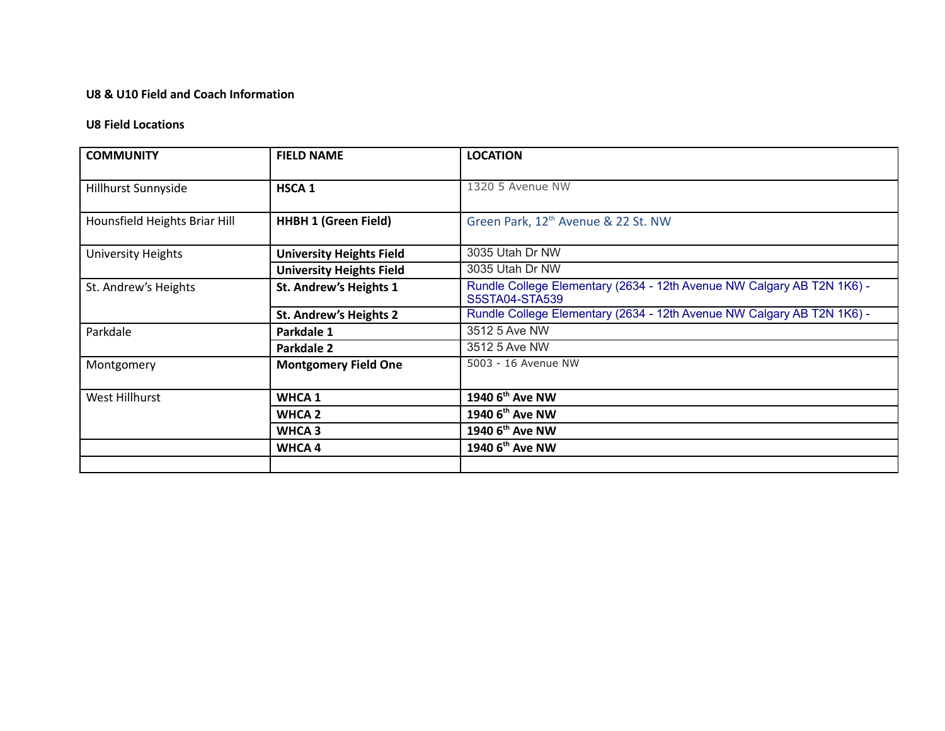## **U8 & U10 Field and Coach Information**

#### **U8 Field Locations**

| <b>COMMUNITY</b>              | <b>FIELD NAME</b>               | <b>LOCATION</b>                                                                          |
|-------------------------------|---------------------------------|------------------------------------------------------------------------------------------|
| Hillhurst Sunnyside           | HSCA <sub>1</sub>               | 1320 5 Avenue NW                                                                         |
| Hounsfield Heights Briar Hill | <b>HHBH 1 (Green Field)</b>     | Green Park, 12 <sup>th</sup> Avenue & 22 St. NW                                          |
| University Heights            | <b>University Heights Field</b> | 3035 Utah Dr NW                                                                          |
|                               | <b>University Heights Field</b> | 3035 Utah Dr NW                                                                          |
| St. Andrew's Heights          | St. Andrew's Heights 1          | Rundle College Elementary (2634 - 12th Avenue NW Calgary AB T2N 1K6) -<br>S5STA04-STA539 |
|                               | <b>St. Andrew's Heights 2</b>   | Rundle College Elementary (2634 - 12th Avenue NW Calgary AB T2N 1K6) -                   |
| Parkdale                      | Parkdale 1                      | 3512 5 Ave NW                                                                            |
|                               | Parkdale 2                      | 3512 5 Ave NW                                                                            |
| Montgomery                    | <b>Montgomery Field One</b>     | 5003 - 16 Avenue NW                                                                      |
| West Hillhurst                | <b>WHCA 1</b>                   | 1940 6 <sup>th</sup> Ave NW                                                              |
|                               | <b>WHCA 2</b>                   | 1940 6 <sup>th</sup> Ave NW                                                              |
|                               | WHCA <sub>3</sub>               | 1940 6 <sup>th</sup> Ave NW                                                              |
|                               | <b>WHCA4</b>                    | 1940 6 <sup>th</sup> Ave NW                                                              |
|                               |                                 |                                                                                          |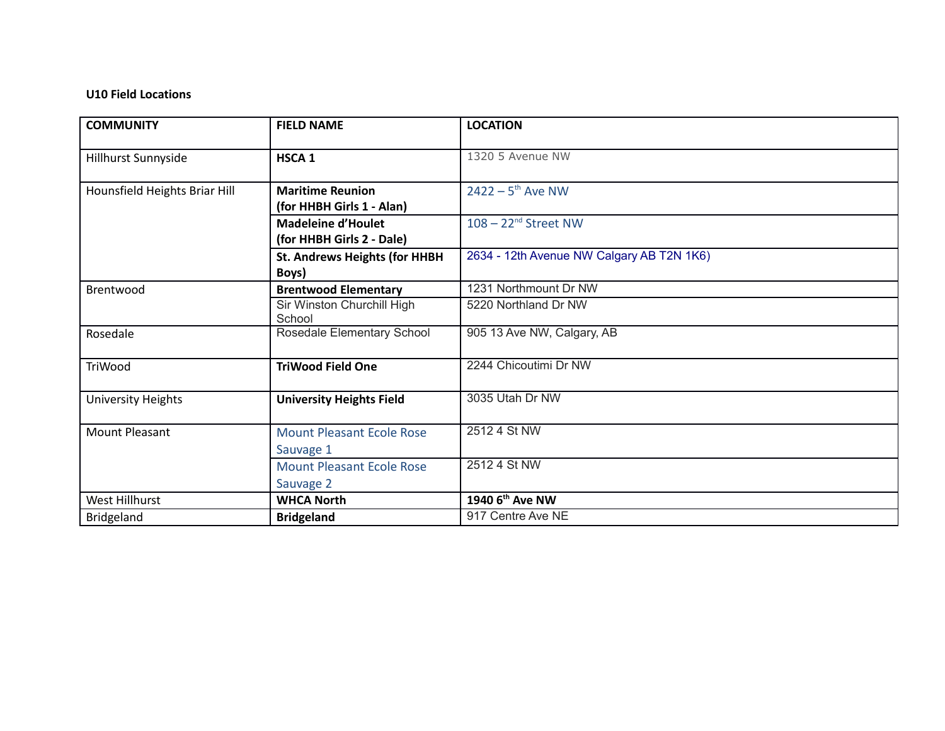## **U10 Field Locations**

| <b>COMMUNITY</b>              | <b>FIELD NAME</b>                                      | <b>LOCATION</b>                           |
|-------------------------------|--------------------------------------------------------|-------------------------------------------|
| Hillhurst Sunnyside           | <b>HSCA1</b>                                           | 1320 5 Avenue NW                          |
| Hounsfield Heights Briar Hill | <b>Maritime Reunion</b><br>(for HHBH Girls 1 - Alan)   | $2422 - 5$ <sup>th</sup> Ave NW           |
|                               | <b>Madeleine d'Houlet</b><br>(for HHBH Girls 2 - Dale) | $108 - 22^{nd}$ Street NW                 |
|                               | <b>St. Andrews Heights (for HHBH</b><br>Boys)          | 2634 - 12th Avenue NW Calgary AB T2N 1K6) |
| Brentwood                     | <b>Brentwood Elementary</b>                            | 1231 Northmount Dr NW                     |
|                               | Sir Winston Churchill High<br>School                   | 5220 Northland Dr NW                      |
| Rosedale                      | Rosedale Elementary School                             | 905 13 Ave NW, Calgary, AB                |
| TriWood                       | <b>TriWood Field One</b>                               | 2244 Chicoutimi Dr NW                     |
| <b>University Heights</b>     | <b>University Heights Field</b>                        | 3035 Utah Dr NW                           |
| <b>Mount Pleasant</b>         | <b>Mount Pleasant Ecole Rose</b>                       | 2512 4 St NW                              |
|                               | Sauvage 1                                              |                                           |
|                               | <b>Mount Pleasant Ecole Rose</b>                       | 2512 4 St NW                              |
|                               | Sauvage 2                                              |                                           |
| West Hillhurst                | <b>WHCA North</b>                                      | 1940 6 <sup>th</sup> Ave NW               |
| Bridgeland                    | <b>Bridgeland</b>                                      | 917 Centre Ave NE                         |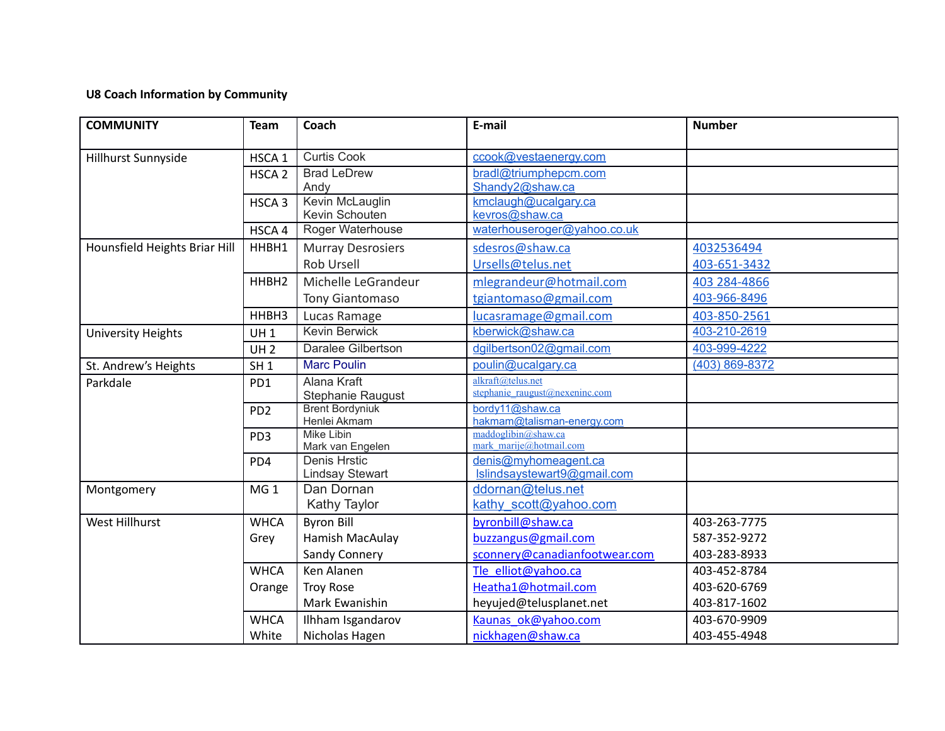# **U8 Coach Information by Community**

| <b>COMMUNITY</b>              | <b>Team</b>                                   | Coach                                                                                                    | E-mail                                                                                                                                             | <b>Number</b>                                                                                |
|-------------------------------|-----------------------------------------------|----------------------------------------------------------------------------------------------------------|----------------------------------------------------------------------------------------------------------------------------------------------------|----------------------------------------------------------------------------------------------|
| Hillhurst Sunnyside           | HSCA <sub>1</sub>                             | <b>Curtis Cook</b>                                                                                       | ccook@vestaenergy.com                                                                                                                              |                                                                                              |
|                               | HSCA <sub>2</sub>                             | <b>Brad LeDrew</b><br>Andy                                                                               | bradl@triumphepcm.com<br>Shandy2@shaw.ca                                                                                                           |                                                                                              |
|                               | HSCA <sub>3</sub>                             | Kevin McLauglin<br>Kevin Schouten                                                                        | kmclaugh@ucalgary.ca<br>kevros@shaw.ca                                                                                                             |                                                                                              |
|                               | HSCA 4                                        | Roger Waterhouse                                                                                         | waterhouseroger@yahoo.co.uk                                                                                                                        |                                                                                              |
| Hounsfield Heights Briar Hill | HHBH1                                         | <b>Murray Desrosiers</b>                                                                                 | sdesros@shaw.ca                                                                                                                                    | 4032536494                                                                                   |
|                               |                                               | <b>Rob Ursell</b>                                                                                        | Ursells@telus.net                                                                                                                                  | 403-651-3432                                                                                 |
|                               | HHBH <sub>2</sub>                             | Michelle LeGrandeur                                                                                      | mlegrandeur@hotmail.com                                                                                                                            | 403 284-4866                                                                                 |
|                               |                                               | <b>Tony Giantomaso</b>                                                                                   | tgiantomaso@gmail.com                                                                                                                              | 403-966-8496                                                                                 |
|                               | HHBH3                                         | Lucas Ramage                                                                                             | lucasramage@gmail.com                                                                                                                              | 403-850-2561                                                                                 |
| <b>University Heights</b>     | <b>UH1</b>                                    | <b>Kevin Berwick</b>                                                                                     | kberwick@shaw.ca                                                                                                                                   | 403-210-2619                                                                                 |
|                               | UH <sub>2</sub>                               | Daralee Gilbertson                                                                                       | dgilbertson02@gmail.com                                                                                                                            | 403-999-4222                                                                                 |
| St. Andrew's Heights          | SH <sub>1</sub>                               | <b>Marc Poulin</b>                                                                                       | poulin@ucalgary.ca                                                                                                                                 | (403) 869-8372                                                                               |
| Parkdale                      | PD <sub>1</sub>                               | Alana Kraft<br>Stephanie Raugust                                                                         | alkraft@telus.net<br>stephanie raugust@nexeninc.com                                                                                                |                                                                                              |
|                               | PD <sub>2</sub>                               | <b>Brent Bordyniuk</b><br>Henlei Akmam                                                                   | bordy11@shaw.ca<br>hakmam@talisman-energy.com                                                                                                      |                                                                                              |
|                               | PD <sub>3</sub>                               | <b>Mike Libin</b><br>Mark van Engelen                                                                    | maddoglibin@shaw.ca<br>mark marije@hotmail.com                                                                                                     |                                                                                              |
|                               | PD4                                           | <b>Denis Hrstic</b><br><b>Lindsay Stewart</b>                                                            | denis@myhomeagent.ca<br>Islindsaystewart9@gmail.com                                                                                                |                                                                                              |
| Montgomery                    | MG <sub>1</sub>                               | Dan Dornan<br>Kathy Taylor                                                                               | ddornan@telus.net<br>kathy scott@yahoo.com                                                                                                         |                                                                                              |
|                               |                                               |                                                                                                          |                                                                                                                                                    |                                                                                              |
| <b>West Hillhurst</b>         | <b>WHCA</b>                                   | <b>Byron Bill</b>                                                                                        | byronbill@shaw.ca                                                                                                                                  | 403-263-7775                                                                                 |
|                               | Grey                                          | Hamish MacAulay                                                                                          | buzzangus@gmail.com                                                                                                                                | 587-352-9272                                                                                 |
|                               |                                               |                                                                                                          |                                                                                                                                                    |                                                                                              |
|                               |                                               |                                                                                                          |                                                                                                                                                    |                                                                                              |
|                               |                                               |                                                                                                          |                                                                                                                                                    |                                                                                              |
|                               |                                               |                                                                                                          |                                                                                                                                                    |                                                                                              |
|                               |                                               |                                                                                                          |                                                                                                                                                    |                                                                                              |
|                               | <b>WHCA</b><br>Orange<br><b>WHCA</b><br>White | Sandy Connery<br>Ken Alanen<br><b>Troy Rose</b><br>Mark Ewanishin<br>Ilhham Isgandarov<br>Nicholas Hagen | sconnery@canadianfootwear.com<br>Tle elliot@yahoo.ca<br>Heatha1@hotmail.com<br>heyujed@telusplanet.net<br>Kaunas ok@yahoo.com<br>nickhagen@shaw.ca | 403-283-8933<br>403-452-8784<br>403-620-6769<br>403-817-1602<br>403-670-9909<br>403-455-4948 |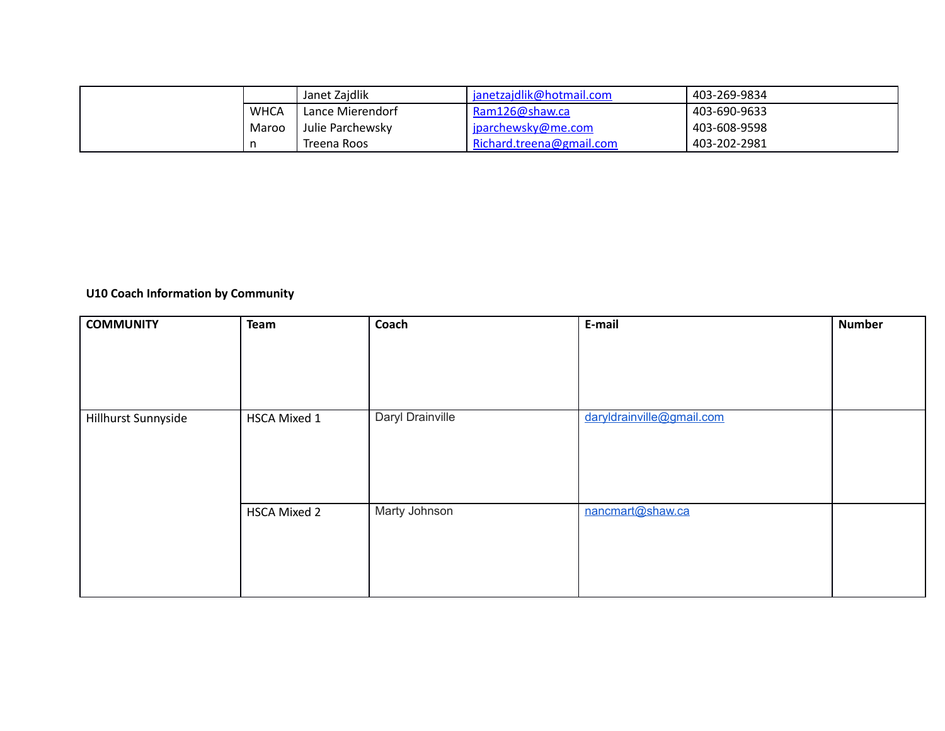|       | Janet Zaidlik      | janetzajdlik@hotmail.com | 403-269-9834 |
|-------|--------------------|--------------------------|--------------|
| WHCA  | Lance Mierendorf   | Ram126@shaw.ca           | 403-690-9633 |
| Maroo | l Julie Parchewsky | jparchewsky@me.com       | 403-608-9598 |
|       | Treena Roos        | Richard.treena@gmail.com | 403-202-2981 |

# **U10 Coach Information by Community**

| <b>COMMUNITY</b>    | Team                | Coach            | E-mail                    | <b>Number</b> |
|---------------------|---------------------|------------------|---------------------------|---------------|
|                     |                     |                  |                           |               |
|                     |                     |                  |                           |               |
|                     |                     |                  |                           |               |
|                     |                     |                  |                           |               |
| Hillhurst Sunnyside | HSCA Mixed 1        | Daryl Drainville | daryldrainville@gmail.com |               |
|                     |                     |                  |                           |               |
|                     |                     |                  |                           |               |
|                     |                     |                  |                           |               |
|                     |                     |                  |                           |               |
|                     | <b>HSCA Mixed 2</b> | Marty Johnson    | nancmart@shaw.ca          |               |
|                     |                     |                  |                           |               |
|                     |                     |                  |                           |               |
|                     |                     |                  |                           |               |
|                     |                     |                  |                           |               |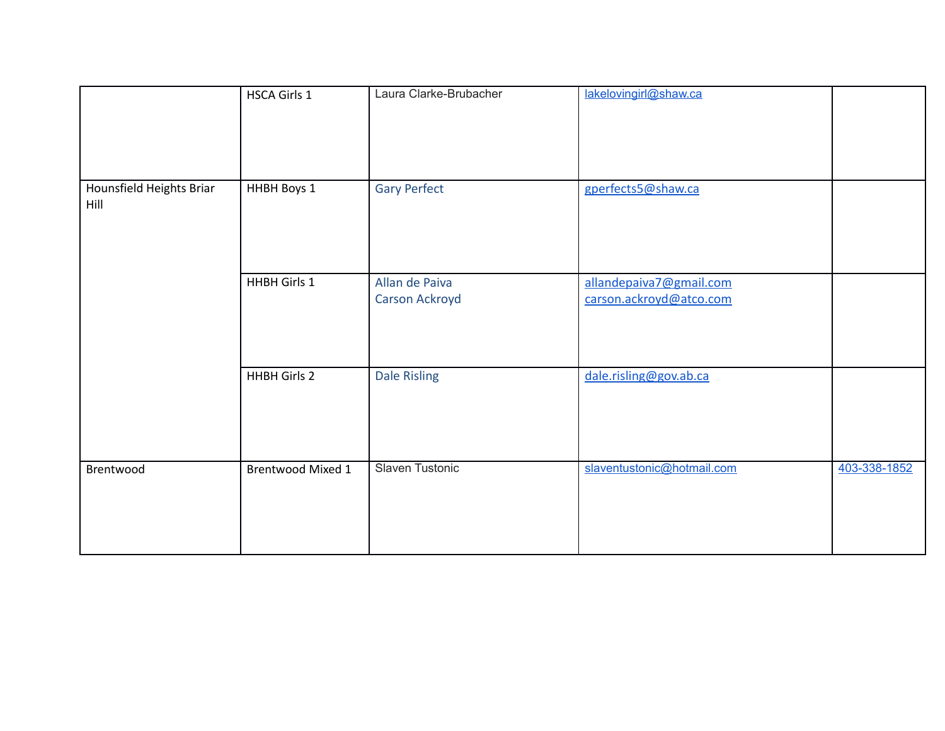|                                  | <b>HSCA Girls 1</b>      | Laura Clarke-Brubacher           | lakelovingirl@shaw.ca                              |              |
|----------------------------------|--------------------------|----------------------------------|----------------------------------------------------|--------------|
| Hounsfield Heights Briar<br>Hill | HHBH Boys 1              | <b>Gary Perfect</b>              | gperfects5@shaw.ca                                 |              |
|                                  | HHBH Girls 1             | Allan de Paiva<br>Carson Ackroyd | allandepaiva7@gmail.com<br>carson.ackroyd@atco.com |              |
|                                  | <b>HHBH Girls 2</b>      | <b>Dale Risling</b>              | dale.risling@gov.ab.ca                             |              |
| Brentwood                        | <b>Brentwood Mixed 1</b> | Slaven Tustonic                  | slaventustonic@hotmail.com                         | 403-338-1852 |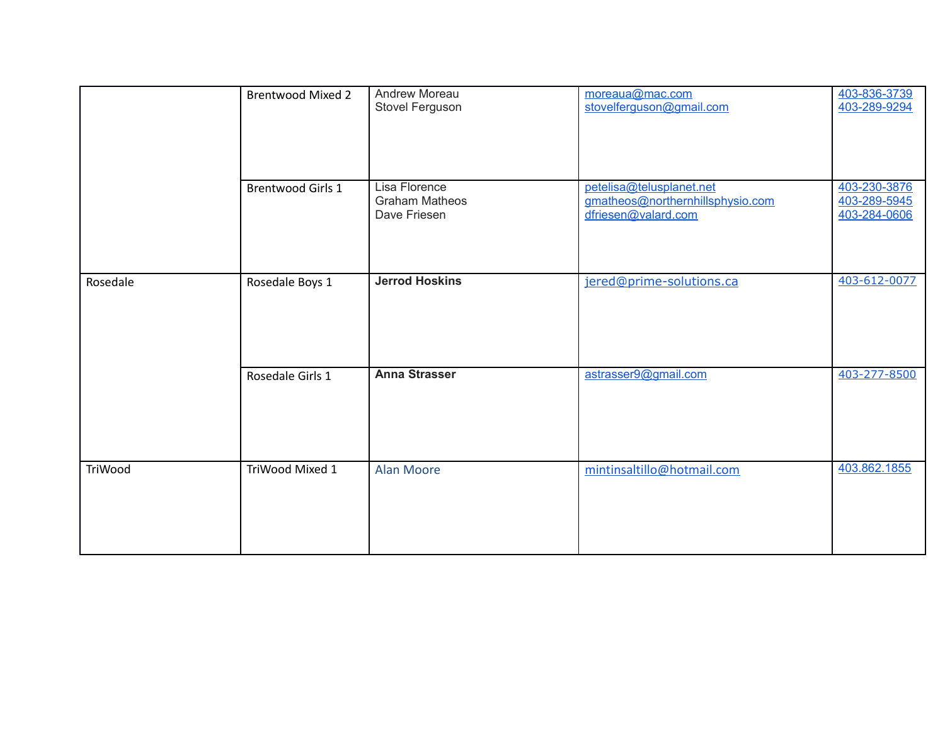|          | <b>Brentwood Mixed 2</b> | Andrew Moreau<br>Stovel Ferguson                       | moreaua@mac.com<br>stovelferguson@gmail.com                                         | 403-836-3739<br>403-289-9294                 |
|----------|--------------------------|--------------------------------------------------------|-------------------------------------------------------------------------------------|----------------------------------------------|
|          | <b>Brentwood Girls 1</b> | Lisa Florence<br><b>Graham Matheos</b><br>Dave Friesen | petelisa@telusplanet.net<br>gmatheos@northernhillsphysio.com<br>dfriesen@valard.com | 403-230-3876<br>403-289-5945<br>403-284-0606 |
| Rosedale | Rosedale Boys 1          | <b>Jerrod Hoskins</b>                                  | jered@prime-solutions.ca                                                            | 403-612-0077                                 |
|          | Rosedale Girls 1         | <b>Anna Strasser</b>                                   | astrasser9@gmail.com                                                                | 403-277-8500                                 |
| TriWood  | TriWood Mixed 1          | <b>Alan Moore</b>                                      | mintinsaltillo@hotmail.com                                                          | 403.862.1855                                 |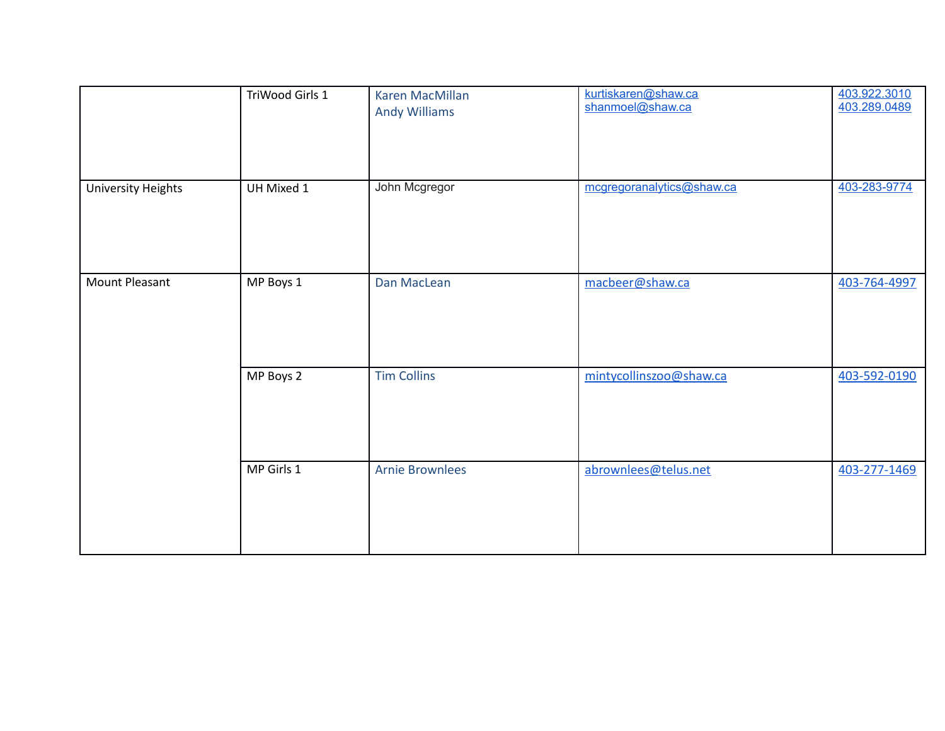|                           | TriWood Girls 1 | Karen MacMillan<br><b>Andy Williams</b> | kurtiskaren@shaw.ca<br>shanmoel@shaw.ca | 403.922.3010<br>403.289.0489 |
|---------------------------|-----------------|-----------------------------------------|-----------------------------------------|------------------------------|
| <b>University Heights</b> | UH Mixed 1      | John Mcgregor                           | mcgregoranalytics@shaw.ca               | 403-283-9774                 |
| <b>Mount Pleasant</b>     | MP Boys 1       | Dan MacLean                             | macbeer@shaw.ca                         | 403-764-4997                 |
|                           | MP Boys 2       | <b>Tim Collins</b>                      | mintycollinszoo@shaw.ca                 | 403-592-0190                 |
|                           | MP Girls 1      | <b>Arnie Brownlees</b>                  | abrownlees@telus.net                    | 403-277-1469                 |